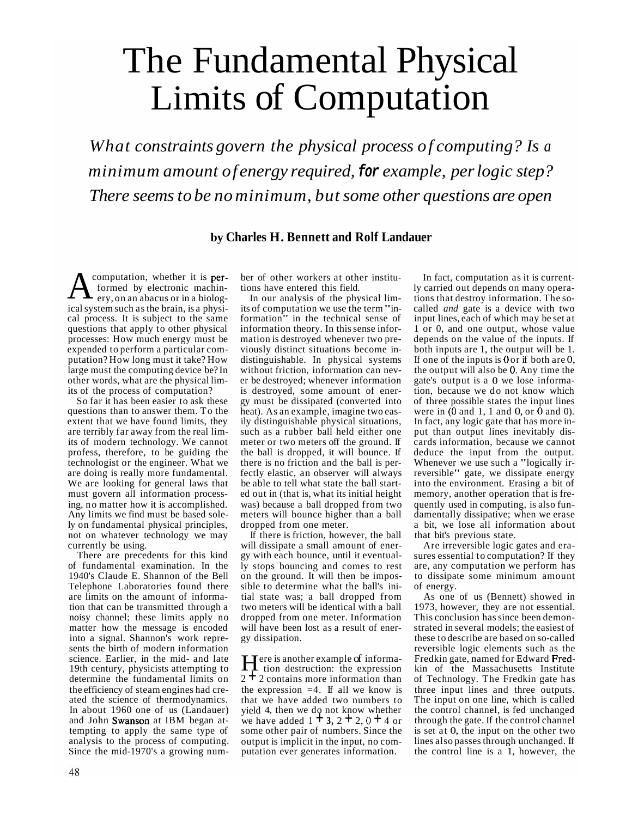## The Fundamental Physical Limits of Computation

*What constraints govern the physical process of computing? Is a minim um amount of energy required,* **for** *example, per logic step? There seems to be no minimum, but some other questions are open* 

## **by Charles H. Bennett and Rolf Landauer**

**A** computation, whether it is **per-**<br>formed by electronic machin-<br>ery, on an abacus or in a biologformed by electronic machinery, on an abacus or in a biological system such as the brain, is a physical process. It is subject to the same questions that apply to other physical processes: How much energy must be expended to perform a particular computation? How long must it take? How large must the computing device be? In other words, what are the physical limits of the process of computation?

So far it has been easier to ask these questions than to answer them. To the extent that we have found limits, they are terribly far away from the real limits of modern technology. We cannot profess, therefore, to be guiding the technologist or the engineer. What we are doing is really more fundamental. We are looking for general laws that must govern all information processing, no matter how it is accomplished. Any limits we find must be based solely on fundamental physical principles, not on whatever technology we may currently be using.

There are precedents for this kind of fundamental examination. In the 1940's Claude E. Shannon of the Bell Telephone Laboratories found there are limits on the amount of information that can be transmitted through a noisy channel; these limits apply no matter how the message is encoded into a signal. Shannon's work represents the birth of modern information science. Earlier, in the mid- and late 19th century, physicists attempting to determine the fundamental limits on the efficiency of steam engines had created the science of thermodynamics. In about 1960 one of us (Landauer) and John Swanson at IBM began attempting to apply the same type of analysis to the process of computing. Since the mid-1970's a growing number of other workers at other institutions have entered this field.

In our analysis of the physical limits of computation we use the term "information" in the technical sense of information theory. In this sense information is destroyed whenever two previously distinct situations become indistinguishable. In physical systems without friction, information can never be destroyed; whenever information is destroyed, some amount of energy must be dissipated (converted into heat). As an example, imagine two easily distinguishable physical situations, such as a rubber ball held either one meter or two meters off the ground. If the ball is dropped, it will bounce. If there is no friction and the ball is perfectly elastic, an observer will always be able to tell what state the ball started out in (that is, what its initial height was) because a ball dropped from two meters will bounce higher than a ball dropped from one meter.

If there is friction, however, the ball will dissipate a small amount of energy with each bounce, until it eventually stops bouncing and comes to rest on the ground. It will then be impossible to determine what the ball's initial state was; a ball dropped from two meters will be identical with a ball dropped from one meter. Information will have been lost as a result of energy dissipation.

Swanson at IBM began at-<br>we have added  $1 + 3$ ,  $2 + 2$ ,  $0 + 4$  or Here is another example of informa-tion destruction: the expression  $2 + 2$  contains more information than the expression  $=4$ . If all we know is that we have added two numbers to yield 4, then we do not know whether some other pair of numbers. Since the output is implicit in the input, no computation ever generates information.

If one of the inputs is  $0$  or if both are  $0$ , the output will also be 0. Any time the gate's output is a 0 we lose informawere in  $(0 \text{ and } 1, 1 \text{ and } 0, \text{ or } 0 \text{ and } 0)$ . In fact, computation as it is currently carried out depends on many operations that destroy information. The socalled *and* gate is a device with two input lines, each of which may be set at 1 or 0, and one output, whose value depends on the value of the inputs. If both inputs are 1, the output will be 1. tion, because we do not know which of three possible states the input lines In fact, any logic gate that has more input than output lines inevitably discards information, because we cannot deduce the input from the output. Whenever we use such a "logically irreversible" gate, we dissipate energy into the environment. Erasing a bit of memory, another operation that is frequently used in computing, is also fundamentally dissipative; when we erase a bit, we lose all information about that bit's previous state.

Are irreversible logic gates and erasures essential to computation? If they are, any computation we perform has to dissipate some minimum amount of energy.

Fredkin gate, named for Edward Fred-As one of us (Bennett) showed in 1973, however, they are not essential. This conclusion has since been demonstrated in several models; the easiest of these to describe are based on so-called reversible logic elements such as the kin of the Massachusetts Institute of Technology. The Fredkin gate has three input lines and three outputs. The input on one line, which is called the control channel, is fed unchanged through the gate. If the control channel is set at 0, the input on the other two lines also passes through unchanged. If the control line is a 1, however, the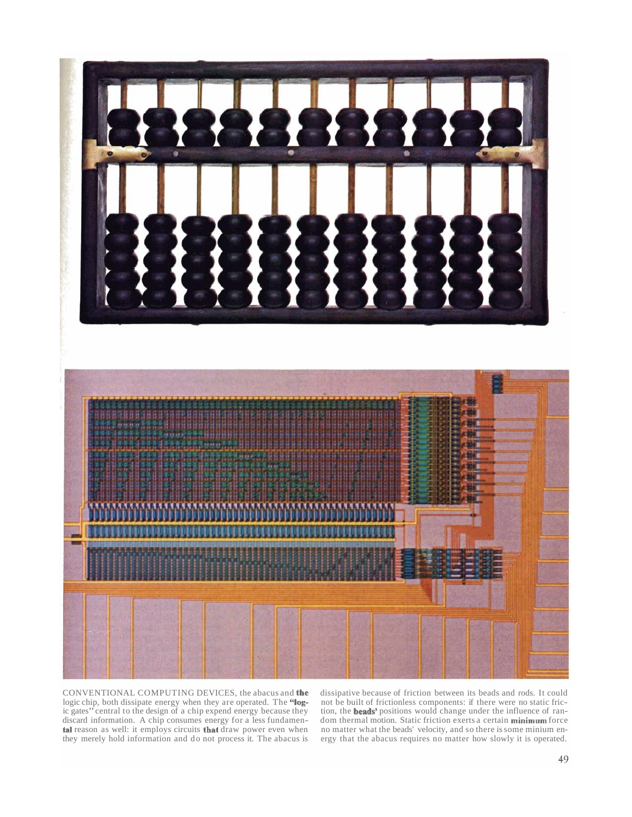

CONVENTIONAL COMPUTING DEVICES, the abacus and the logic chip, both dissipate energy when they are operated. The "logtal reason as well: it employs circuits that ic gates" central to the design of a chip expend energy because they discard information. A chip consumes energy for a less fundamen-

tion, the **beads'** positions would change under the influence of randiscard information. A chip consumes energy for a less fundamen- dom thermal motion. Static friction exerts a certain minimum force dissipative because of friction between its beads and rods. It could not be built of frictionless components: if there were no static fricno matter what the beads' velocity, and so there is some minium energy that the abacus requires no matter how slowly it is operated. they merely hold information and do not process it. The abacus is ergy that the abacus requires no matter how slowly it is operated.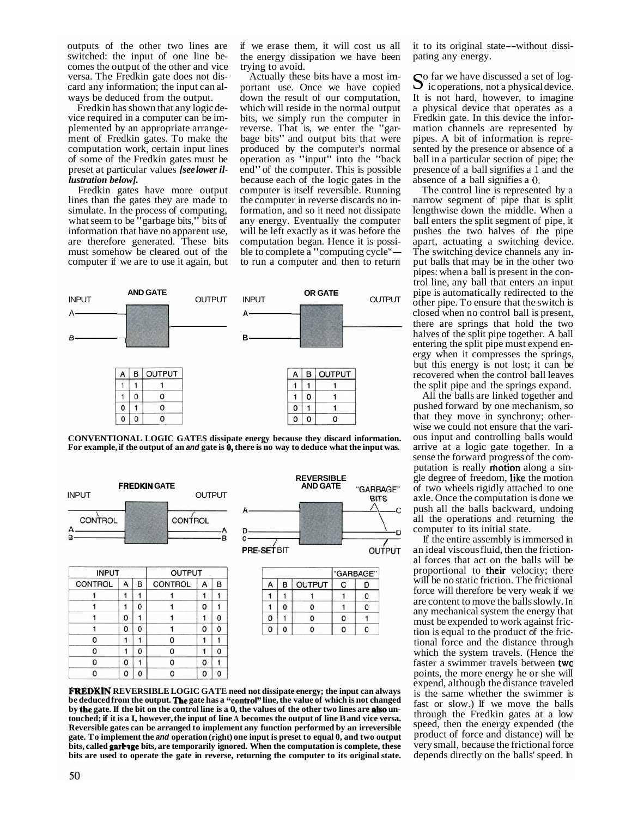outputs of the other two lines are<br>switched: the input of one line becomes the output of the other and vice versa. The Fredkin gate does not discard any information; the input can always be deduced from the output.

Fredkin has shown that any logic de- vice required in a computer can be implemented by an appropriate arrangement of Fredkin gates. To make the computation work, certain input lines of some of the Fredkin gates must be preset at particular values *[see lower illustration below].* 

Fredkin gates have more output lines than the gates they are made to simulate. In the process of computing, what seem to be "garbage bits," bits of information that have no apparent use, are therefore generated. These bits must somehow be cleared out of the computer if we are to use it again, but if we erase them, it will cost us all the energy dissipation we have been trying to avoid.

Actually these bits have a most important use. Once we have copied down the result of our computation, which will reside in the normal output bits, we simply run the computer in reverse. That is, we enter the "garbage bits" and output bits that were produced by the computer's normal operation as "input" into the "back end" of the computer. This is possible because each of the logic gates in the computer is itself reversible. Running the computer in reverse discards no information, and so it need not dissipate any energy. Eventually the computer will be left exactly as it was before the computation began. Hence it is possible to complete a "computing cycle" will be left exactly as it was before the<br>computation began. Hence it is possi-<br>ble to complete a "computing cycle"—<br>to run a computer and then to return



For example, if the output of an *and* gate is  $\overline{0}$ , there is no way to deduce what the input was. **CONVENTIONAL LOGIC GATES dissipate energy because they discard information.** 



 $\mathbf{1}$ 0

 $\pmb{0}$  $\mathbf{1}$ 

 $\mathbf 0$  $\mathbf 0$ 

 $\pmb{0}$ 

 $\mathbf 0$ 

 $\Omega$ 

**FREDKIN REVERSIBLE LOGIC GATE need not dissipate energy; the input can always**  be deduced from the output. The gate has a "control" line, the value of which is not changed by **the** gate. If the bit on the control line is a 0, the values of the other two lines are also unbits, called **garringe** bits, are temporarily ignored. When the computation is complete, these **touched; if it is a I, however, the input of line A becomes the output of line B and vice versa. Reversible gates can be arranged to implement any function performed by an irreversible gate. To implement the and operation (right) one input is preset to equal 0, and two output bits are used to operate the gate in reverse, returning the computer to its original state.** 

it to its original state--without dissi- pating any energy.

absence of a ball signifies a 0. So far we have discussed a set of log-<br>ic operations, not a physical device. It is not hard, however, to imagine a physical device that operates as a Fredkin gate. In this device the information channels are represented by pipes. A bit of information is repre- sented by the presence or absence of a ball in a particular section of pipe; the presence of a ball signifies a 1 and the

The control line is represented by a narrow segment of pipe that is split lengthwise down the middle. When a ball enters the split segment of pipe, it pushes the two halves of the pipe apart, actuating a switching device. The switching device channels any in-<br>put balls that may be in the other two pipes: when a ball is present in the control line, any ball that enters an input pipe is automatically redirected to the other pipe. To ensure that the switch is closed when no control ball is present, there are springs that hold the two ergy when it compresses the springs, but this energy is not lost; it can be recovered when the control ball leaves the split pipe and the springs expand.

putation is really **motion** along a single degree of freedom, **like** the motion gle degree of freedom, like the motion All the balls are linked together and pushed forward by one mechanism, so that they move in synchrony; otherwise we could not ensure that the vari-<br>ous input and controlling balls would arrive at a logic gate together. In a sense the forward progress of the comof two wheels rigidly attached to one axle. Once the computation is done we push all the balls backward, undoing all the operations and returning the computer to its initial state.

OUTPUT

C

 $\mathbf{1}$ 

 $\mathbf{1}$ 

0

0

D

0

0

 $\mathbf{1}$ 

0

C

**BITS** 

proportional to their velocity; there faster a swimmer travels between two If the entire assembly is immersed in an ideal viscous fluid, then the frictional forces that act on the balls will be will be no static friction. The frictional force will therefore be very weak if we are content to move the balls slowly. In any mechanical system the energy that must be expended to work against fric-<br>tion is equal to the product of the frictional force and the distance through which the system travels. (Hence the points, the more energy he or she will expend, although the distance traveled is the same whether the swimmer is fast or slow.) If we move the balls through the Fredkin gates at a low speed, then the energy expended (the product of force and distance) will be very small, because the frictional force depends directly on the balls' speed. In

 $\Omega$ 

0

 $\mathbf 0$ 

 $\mathbf{1}$ 0

 $\pmb{0}$  $\mathbf{1}$ 

 $\mathbf 0$  $\mathbf 0$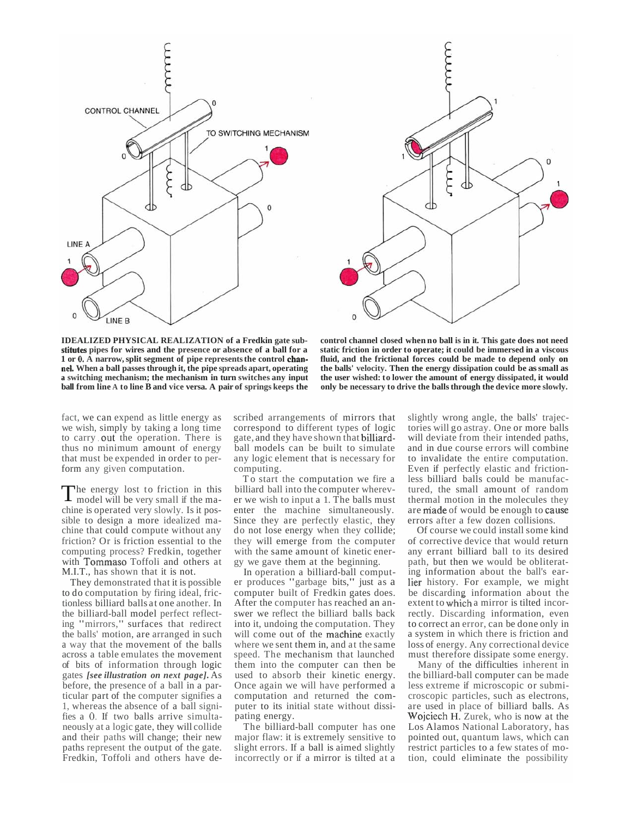



stitutes pipes for wires and the presence or absence of a ball for a 1 or 0. A narrow, split segment of pipe represents the control chan**nei.** 

**IDEALIZED PHYSICAL REALIZATION of a Fredkin gate sub- control channel closed when no ball is in it. This gate does not need**  static friction in order to operate; it could be immersed in a viscous fluid, and the frictional forces could be made to depend only on the balls' velocity. Then the energy dissipation could be as small as **a switching mechanism; the mechanism in turn switches any input the user wished: to lower the amount of energy dissipated, it would**  ball from line A to line B and vice versa. A pair of springs keeps the only be necessary to drive the balls through the device more slowly.

to carry out the operation. There is fact, we can expend as little energy as we wish, simply by taking a long time thus no minimum amount of energy that must be expended in order to perform any given computation.

with Tommaso Toffoli and others at The energy lost to friction in this model will be very small if the machine is operated very slowly. Is it possible to design a more idealized machine that could compute without any friction? Or is friction essential to the computing process? Fredkin, together M.I.T., has shown that it is not.

fies a 0. If two balls arrive simulta-They demonstrated that it is possible to do computation by firing ideal, frictionless billiard balls at one another. In the billiard-ball model perfect reflecting "mirrors," surfaces that redirect the balls' motion, are arranged in such a way that the movement of the balls across a table emulates the movement of bits of information through logic gates *[see illustration on next page].* As before, the presence of a ball in a particular part of the computer signifies a 1, whereas the absence of a ball signineously at a logic gate, they will collide and their paths will change; their new paths represent the output of the gate. Fredkin, Toffoli and others have de-

gate, and they have shown that billiardscribed arrangements of mirrors that correspond to different types of logic ball models can be built to simulate any logic element that is necessary for computing.

To start the computation we fire a billiard ball into the computer wherever we wish to input a 1. The balls must enter the machine simultaneously. Since they are perfectly elastic, they do not lose energy when they collide; they will emerge from the computer with the same amount of kinetic energy we gave them at the beginning.

will come out of the machine exactly In operation a billiard-ball computer produces "garbage bits," just as a computer built of Fredkin gates does. After the computer has reached an answer we reflect the billiard balls back into it, undoing the computation. They where we sent them in, and at the same speed. The mechanism that launched them into the computer can then be used to absorb their kinetic energy. Once again we will have performed a computation and returned the computer to its initial state without dissipating energy.

The billiard-ball computer has one major flaw: it is extremely sensitive to slight errors. If a ball is aimed slightly incorrectly or if a mirror is tilted at a

are made of would be enough to cause slightly wrong angle, the balls' trajectories will go astray. One or more balls will deviate from their intended paths, and in due course errors will combine to invalidate the entire computation. Even if perfectly elastic and frictionless billiard balls could be manufactured, the small amount of random thermal motion in the molecules they errors after a few dozen collisions.

lier history. For example, we might extent to which a mirror is tilted incor-Of course we could install some kind of corrective device that would return any errant billiard ball to its desired path, but then we would be obliterating information about the ball's earbe discarding information about the rectly. Discarding information, even to correct an error, can be done only in a system in which there is friction and loss of energy. Any correctional device must therefore dissipate some energy.

Wojciech H. Zurek, who is now at the Many of the difficulties inherent in the billiard-ball computer can be made less extreme if microscopic or submicroscopic particles, such as electrons, are used in place of billiard balls. As Los Alamos National Laboratory, has pointed out, quantum laws, which can restrict particles to a few states of motion, could eliminate the possibility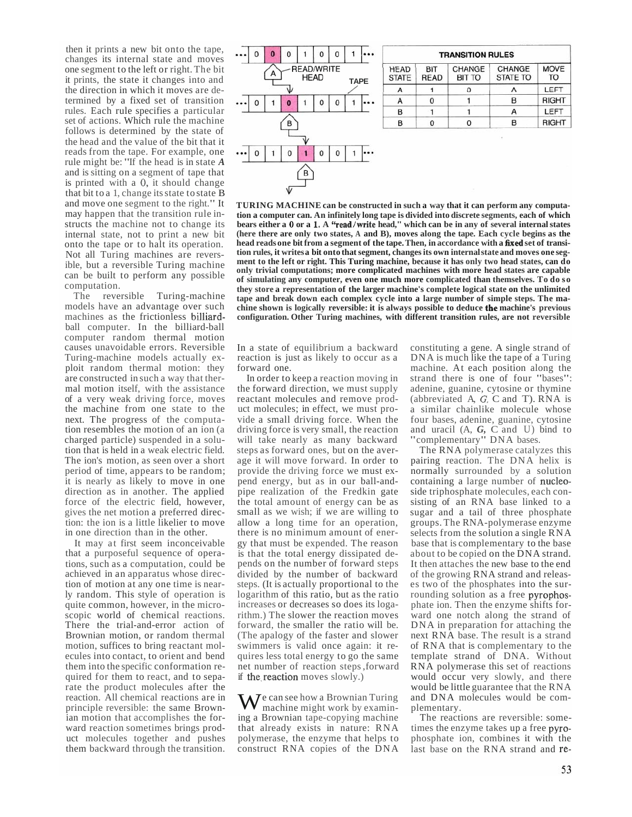is printed with a 0, it should change then it prints a new bit onto the tape, changes its internal state and moves one segment to the left or right. The bit it prints, the state it changes into and the direction in which it moves are determined by a fixed set of transition rules. Each rule specifies a particular set of actions. Which rule the machine follows is determined by the state of the head and the value of the bit that it reads from the tape. For example, one rule might be: "If the head is in state *<sup>A</sup>* and is sitting on a segment of tape that that bit to a 1, change its state to state B and move one segment to the right." It may happen that the transition rule instructs the machine not to change its internal state, not to print a new bit onto the tape or to halt its operation. Not all Turing machines are reversible, but a reversible Turing machine can be built to perform any possible computation.

machines as the frictionless billiard-The reversible Turing-machine models have an advantage over such ball computer. In the billiard-ball computer random thermal motion causes unavoidable errors. Reversible Turing-machine models actually exploit random thermal motion: they are constructed in such a way that thermal motion itself, with the assistance of a very weak driving force, moves the machine from one state to the next. The progress of the computation resembles the motion of an ion (a charged particle) suspended in a solution that is held in a weak electric field. The ion's motion, as seen over a short period of time, appears to be random; it is nearly as likely to move in one direction as in another. The applied force of the electric field, however, gives the net motion a preferred direction: the ion is a little likelier to move in one direction than in the other.

It may at first seem inconceivable that a purposeful sequence of operations, such as a computation, could be achieved in an apparatus whose direction of motion at any one time is nearly random. This style of operation is quite common, however, in the microscopic world of chemical reactions. There the trial-and-error action of Brownian motion, or random thermal motion, suffices to bring reactant molecules into contact, to orient and bend them into the specific conformation required for them to react, and to separate the product molecules after the reaction. All chemical reactions are in principle reversible: the same Brownian motion that accomplishes the forward reaction sometimes brings product molecules together and pushes them backward through the transition.



| <b>TRANSITION RULES</b>     |                           |                         |                           |                          |
|-----------------------------|---------------------------|-------------------------|---------------------------|--------------------------|
| <b>HEAD</b><br><b>STATE</b> | <b>BIT</b><br><b>READ</b> | CHANGE<br><b>BIT TO</b> | CHANGE<br><b>STATE TO</b> | <b>MOVE</b><br><b>TO</b> |
| А                           |                           |                         |                           | LEFT                     |
| А                           |                           |                         | в                         | <b>RIGHT</b>             |
| B                           |                           |                         |                           | LEFT                     |
| B                           |                           | n                       | в                         | <b>RIGHT</b>             |

bears either a 0 or a 1. A "read/write head," which can be in any of several internal states head reads one bit from a segment of the tape. Then, in accordance with a fixed set of transi**the chine shown is logically reversible: it is always possible to deduce machine's previous TURING MACHINE can be constructed in such a way that it can perform any computation a computer can. An infinitely long tape is divided into discrete segments, each of which (here there are only two states, A and B), moves along the tape. Each cycle begins as the tion rules, it writesa bit onto that segment, changes its own internalstate and moves one segment to the left or right. This Turing machine, because it has only two head states, can do only trivial computations; more complicated machines with more head states are capable of simulating any computer, even one much more complicated than themselves. To do so they store a representation of the larger machine's complete logical state on the unlimited tape and break down each complex cycle into a large number of simple steps. The maconfiguration. Other Turing machines, with different transition rules, are not reversible** 

In a state of equilibrium a backward reaction is just as likely to occur as a forward one.

if the reaction moves slowly.) In order to keep a reaction moving in the forward direction, we must supply reactant molecules and remove product molecules; in effect, we must provide a small driving force. When the driving force is very small, the reaction will take nearly as many backward steps as forward ones, but on the average it will move forward. In order to provide the driving force we must expend energy, but as in our ball-andpipe realization of the Fredkin gate the total amount of energy can be as small as we wish; if we are willing to allow a long time for an operation, there is no minimum amount of energy that must be expended. The reason is that the total energy dissipated depends on the number of forward steps divided by the number of backward steps. (It is actually proportional to the logarithm of this ratio, but as the ratio increases or decreases so does its logarithm.) The slower the reaction moves forward, the smaller the ratio will be. (The apalogy of the faster and slower swimmers is valid once again: it requires less total energy to go the same net number of reaction steps ,forward

We can see how a Brownian Turing machine might work by examining a Brownian tape-copying machine that already exists in nature: RNA polymerase, the enzyme that helps to construct RNA copies of the DNA

(abbreviated A,  $G$ ,  $C$  and T). RNA is constituting a gene. A single strand of DNA is much like the tape of a Turing machine. At each position along the strand there is one of four "bases": adenine, guanine, cytosine or thymine a similar chainlike molecule whose four bases, adenine, guanine, cytosine and uracil (A, G, C and U) bind to "complementary" DNA bases.

containing a large number of nucleorounding solution as a free pyrophos-The RNA polymerase catalyzes this pairing reaction. The DNA helix is normally surrounded by a solution side triphosphate molecules, each consisting of an RNA base linked to a sugar and a tail of three phosphate groups. The RNA-polymerase enzyme selects from the solution a single RNA base that is complementary to the base about to be copied on the DNA strand. It then attaches the new base to the end of the growing RNA strand and releases two of the phosphates into the surphate ion. Then the enzyme shifts forward one notch along the strand of DNA in preparation for attaching the next RNA base. The result is a strand of RNA that is complementary to the template strand of DNA. Without RNA polymerase this set of reactions would occur very slowly, and there would be little guarantee that the RNA and DNA molecules would be complementary.

times the enzyme takes up a free pyrolast base on the RNA strand and re-The reactions are reversible: somephosphate ion, combines it with the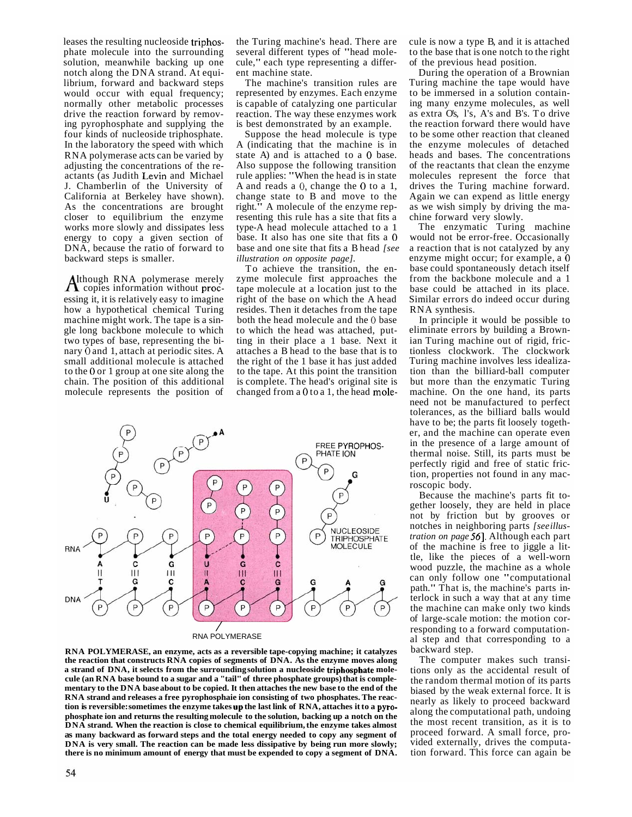leases the resulting nucleoside triphosactants (as Judith Levin and Michael phate molecule into the surrounding solution, meanwhile backing up one notch along the DNA strand. At equilibrium, forward and backward steps would occur with equal frequency; normally other metabolic processes drive the reaction forward by removing pyrophosphate and supplying the four kinds of nucleoside triphosphate. In the laboratory the speed with which RNA polymerase acts can be varied by adjusting the concentrations of the re-J. Chamberlin of the University of California at Berkeley have shown). As the concentrations are brought closer to equilibrium the enzyme works more slowly and dissipates less energy to copy a given section of DNA, because the ratio of forward to backward steps is smaller.

 $A$ <sup>though RNA</sup> polymerase merely copies information without procnary 0 and 1, attach at periodic sites. A to the 0 or 1 group at one site along the essing it, it is relatively easy to imagine how a hypothetical chemical Turing machine might work. The tape is a single long backbone molecule to which two types of base, representing the bismall additional molecule is attached chain. The position of this additional molecule represents the position of

the Turing machine's head. There are several different types of "head molecule," each type representing a different machine state.

The machine's transition rules are represented by enzymes. Each enzyme is capable of catalyzing one particular reaction. The way these enzymes work is best demonstrated by an example.

state A) and is attached to a 0 base. A and reads a  $0$ , change the  $0$  to a 1, base. It also has one site that fits a 0 Suppose the head molecule is type A (indicating that the machine is in Also suppose the following transition rule applies: "When the head is in state change state to B and move to the right." A molecule of the enzyme representing this rule has a site that fits a type-A head molecule attached to a 1 base and one site that fits a B head *[see illustration on opposite page].* 

both the head molecule and the 0 base changed from a  $0$  to a 1, the head mole-To achieve the transition, the enzyme molecule first approaches the tape molecule at a location just to the right of the base on which the A head resides. Then it detaches from the tape to which the head was attached, putting in their place a 1 base. Next it attaches a B head to the base that is to the right of the 1 base it has just added to the tape. At this point the transition is complete. The head's original site is



a strand of DNA, it selects from the surrounding solution a nucleoside triphosphate moletion is reversible: sometimes the enzyme takes up the last link of RNA, attaches it to a pyro-**RNA POLYMERASE, an enzyme, acts as a reversible tape-copying machine; it catalyzes the reaction that constructs RNA copies of segments of DNA. As the enzyme moves along cule (an RNA base bound to a sugar and a "tail" of three phosphate groups) that is complementary to the DNA base about to be copied. It then attaches the new base to the end of the RNA strand and releases a free pyrophosphaie ion consisting of two phosphates. The reacphosphate ion and returns the resulting molecule to the solution, backing up a notch on the DNA strand. When the reaction is close to chemical equilibrium, the enzyme takes almost as many backward as forward steps and the total energy needed to copy any segment of DNA** is very small. The reaction can be made less dissipative by being run more slowly; **there is no minimum amount of energy that must be expended to copy a segment of DNA.** 

cule is now a type B, and it is attached to the base that is one notch to the right of the previous head position.

During the operation of a Brownian Turing machine the tape would have to be immersed in a solution containing many enzyme molecules, as well as extra O's, l's, A's and B's. To drive the reaction forward there would have to be some other reaction that cleaned the enzyme molecules of detached heads and bases. The concentrations of the reactants that clean the enzyme molecules represent the force that drives the Turing machine forward. Again we can expend as little energy as we wish simply by driving the machine forward very slowly.

enzyme might occur; for example, a 0 The enzymatic Turing machine would not be error-free. Occasionally a reaction that is not catalyzed by any base could spontaneously detach itself from the backbone molecule and a 1 base could be attached in its place. Similar errors do indeed occur during RNA synthesis.

In principle it would be possible to eliminate errors by building a Brownian Turing machine out of rigid, frictionless clockwork. The clockwork Turing machine involves less idealization than the billiard-ball computer but more than the enzymatic Turing machine. On the one hand, its parts need not be manufactured to perfect tolerances, as the billiard balls would have to be; the parts fit loosely together, and the machine can operate even in the presence of a large amount of thermal noise. Still, its parts must be perfectly rigid and free of static friction, properties not found in any macroscopic body.

*tration on page* 56]. Although each part Because the machine's parts fit together loosely, they are held in place not by friction but by grooves or notches in neighboring parts *[see illus*of the machine is free to jiggle a little, like the pieces of a well-worn wood puzzle, the machine as a whole can only follow one "computational path." That is, the machine's parts interlock in such a way that at any time the machine can make only two kinds of large-scale motion: the motion corresponding to a forward computational step and that corresponding to a backward step.

The computer makes such transitions only as the accidental result of the random thermal motion of its parts biased by the weak external force. It is nearly as likely to proceed backward along the computational path, undoing the most recent transition, as it is to proceed forward. A small force, provided externally, drives the computation forward. This force can again be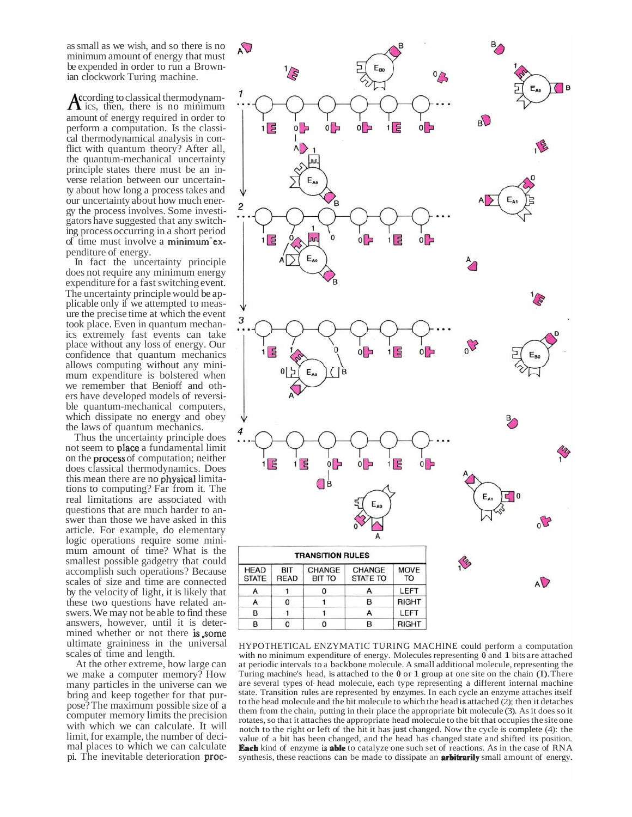as small as we wish, and so there is no minimum amount of energy that must be expended in order to run a Brown-<br>ian clockwork Turing machine.

A ccording to classical thermodynam-<br>ics, then, there is no minimum of time must involve a minimum examount of energy required in order to perform a computation. Is the classi-<br>cal thermodynamical analysis in con-<br>flict with quantum theory? After all, the quantum-mechanical uncertainty principle states there must be an in-<br>verse relation between our uncertain-<br>ty about how long a process takes and our uncertainty about how much ener- gy the process involves. Some investi- gators have suggested that any switch- ing process occurring in a short period penditure of energy.

In fact the uncertainty principle does not require any minimum energy expenditure for a fast switching event. The uncertainty principle would be ap-<br>plicable only if we attempted to meas-<br>ure the precise time at which the event took place. Even in quantum mechan- ics extremely fast events can take place without any loss of energy. Our confidence that quantum mechanics<br>allows computing without any minimum expenditure is bolstered when we remember that Benioff and others have developed models of reversi-<br>ble quantum-mechanical computers, which dissipate no energy and obey the laws of quantum mechanics.

not seem to place a fundamental limit on the process of computation; neither this mean there are no **physical** limita-<br>tions to computing? Far from it. The mined whether or not there is, some Thus the uncertainty principle does does classical thermodynamics. Does real limitations are associated with questions that are much harder to an-<br>swer than those we have asked in this article. For example, do elementary logic operations require some mini- mum amount of time? What is the smallest possible gadgetry that could accomplish such operations? Because scales of size and time are connected by the velocity of light, it is likely that these two questions have related an- swers. We may not be able to find these answers, however, until it is deterultimate graininess in the universal scales of time and length.

pi. The inevitable deterioration proc-At the other extreme, how large can we make a computer memory? How many particles in the universe can we bring and keep together for that pur-<br>pose? The maximum possible size of a computer memory limits the precision with which we can calculate. It will limit, for example, the number of deci- mal places to which we can calculate



with no minimum expenditure of energy. Molecules representing  $\theta$  and  $\theta$  bits are attached a periodic literature of a backbook indicate. The final additional indicate, representing the Turing machine's head, is attached to the 0 or 1 group at one site on the chain (I). There **Each** kind of enzyme is **able** to catalyze one such set of reactions. As in the case of RNA synthesis, these reactions can be made to dissipate an **arbitrarily** small amount of energy. HYPOTHETICAL ENZYMATIC TURING MACHINE could perform a computation at periodic intervals to a backbone molecule. A small additional molecule, representing the are several types of- head molecule, each type representing a different internal machine state. Transition rules are represented by enzymes. In each cycle an enzyme attaches itself to the head molecule and the bit molecule to which the head **is** attached (2); then it detaches them from the chain, putting in their place the appropriate bit molecule (3). As it does so it rotates, so that it attaches the appropriate head molecule to the bit that occupies the site one notch to the right or left of the hit it has **just** changed. Now the cycle is complete (4): the value of a bit has been changed, and the head has changed state and shifted its position.